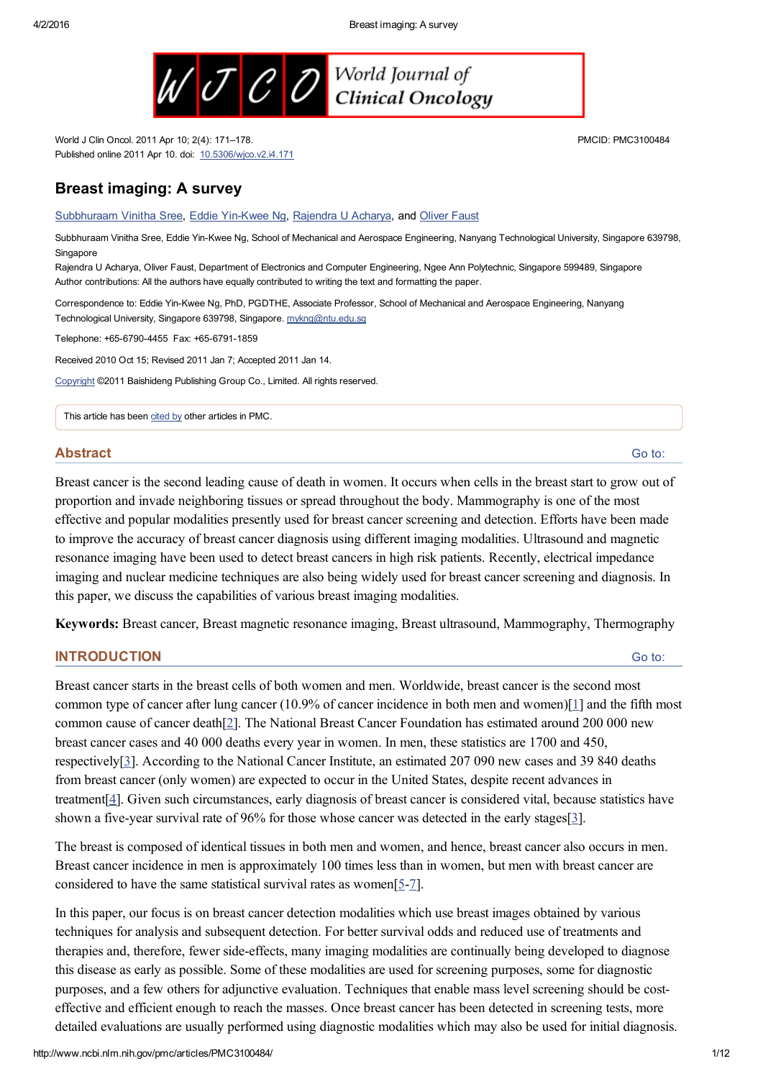

World J Clin Oncol. 2011 Apr 10; 2(4): 171–178. Published online 2011 Apr 10. doi: [10.5306/wjco.v2.i4.171](http://dx.doi.org/10.5306%2Fwjco.v2.i4.171)

# Breast imaging: A survey

[Subbhuraam](http://www.ncbi.nlm.nih.gov/pubmed/?term=Sree%20SV%5Bauth%5D) Vinitha Sree, Eddie Yin-Kwee Ng, [Rajendra](http://www.ncbi.nlm.nih.gov/pubmed/?term=Acharya%20RU%5Bauth%5D) U Acharya, and [Oliver](http://www.ncbi.nlm.nih.gov/pubmed/?term=Faust%20O%5Bauth%5D) Faust

Subbhuraam Vinitha Sree, Eddie Yin-Kwee Ng, School of Mechanical and Aerospace Engineering, Nanyang Technological University, Singapore 639798, Singapore

Rajendra U Acharya, Oliver Faust, Department of Electronics and Computer Engineering, Ngee Ann Polytechnic, Singapore 599489, Singapore Author contributions: All the authors have equally contributed to writing the text and formatting the paper.

Correspondence to: Eddie Yin-Kwee Ng, PhD, PGDTHE, Associate Professor, School of Mechanical and Aerospace Engineering, Nanyang Technological University, Singapore 639798, Singapore. [mykng@ntu.edu.sg](mailto:dev@null)

Telephone: +65-6790-4455 Fax: +65-6791-1859

Received 2010 Oct 15; Revised 2011 Jan 7; Accepted 2011 Jan 14.

[Copyright](http://www.ncbi.nlm.nih.gov/pmc/about/copyright.html) ©2011 Baishideng Publishing Group Co., Limited. All rights reserved.

This article has been [cited](http://www.ncbi.nlm.nih.gov/pmc/articles/PMC3100484/citedby/) by other articles in PMC.

## Abstract

Breast cancer is the second leading cause of death in women. It occurs when cells in the breast start to grow out of proportion and invade neighboring tissues or spread throughout the body. Mammography is one of the most effective and popular modalities presently used for breast cancer screening and detection. Efforts have been made to improve the accuracy of breast cancer diagnosis using different imaging modalities. Ultrasound and magnetic resonance imaging have been used to detect breast cancers in high risk patients. Recently, electrical impedance imaging and nuclear medicine techniques are also being widely used for breast cancer screening and diagnosis. In this paper, we discuss the capabilities of various breast imaging modalities.

Keywords: Breast cancer, Breast magnetic resonance imaging, Breast ultrasound, Mammography, Thermography

## INTRODUCTION

Breast cancer starts in the breast cells of both women and men. Worldwide, breast cancer is the second most common type of cancer after lung cancer (10.9% of cancer incidence in both men and women)[\[1\]](#page-7-0) and the fifth most common cause of cancer death[\[2\]](#page-7-1). The National Breast Cancer Foundation has estimated around 200 000 new breast cancer cases and 40 000 deaths every year in women. In men, these statistics are 1700 and 450, respectively[\[3](#page-7-2)]. According to the National Cancer Institute, an estimated 207 090 new cases and 39 840 deaths from breast cancer (only women) are expected to occur in the United States, despite recent advances in treatment[[4\]](#page-7-3). Given such circumstances, early diagnosis of breast cancer is considered vital, because statistics have shown a five-year survival rate of 96% for those whose cancer was detected in the early stages[[3\]](#page-7-2).

The breast is composed of identical tissues in both men and women, and hence, breast cancer also occurs in men. Breast cancer incidence in men is approximately 100 times less than in women, but men with breast cancer are considered to have the same statistical survival rates as women[ $5-7$  $5-7$ ].

In this paper, our focus is on breast cancer detection modalities which use breast images obtained by various techniques for analysis and subsequent detection. For better survival odds and reduced use of treatments and therapies and, therefore, fewer side-effects, many imaging modalities are continually being developed to diagnose this disease as early as possible. Some of these modalities are used for screening purposes, some for diagnostic purposes, and a few others for adjunctive evaluation. Techniques that enable mass level screening should be costeffective and efficient enough to reach the masses. Once breast cancer has been detected in screening tests, more detailed evaluations are usually performed using diagnostic modalities which may also be used for initial diagnosis.

PMCID: PMC3100484

Go to:

Go to: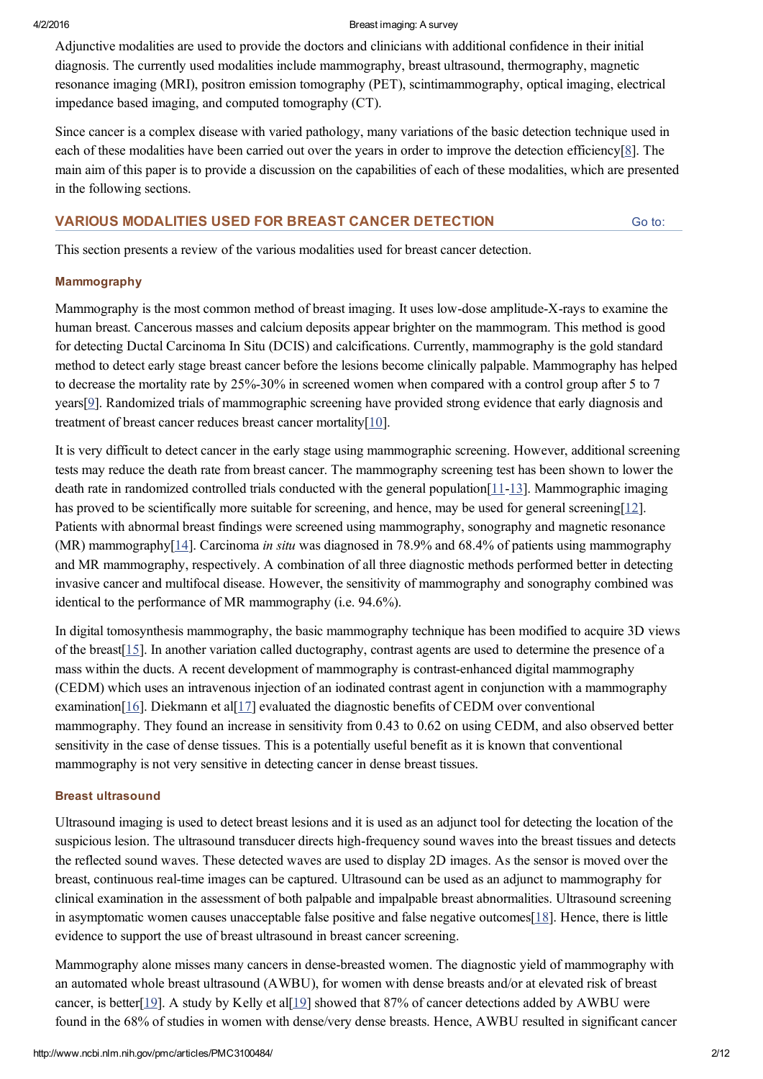Adjunctive modalities are used to provide the doctors and clinicians with additional confidence in their initial diagnosis. The currently used modalities include mammography, breast ultrasound, thermography, magnetic resonance imaging (MRI), positron emission tomography (PET), scintimammography, optical imaging, electrical impedance based imaging, and computed tomography (CT).

Since cancer is a complex disease with varied pathology, many variations of the basic detection technique used in each of these modalities have been carried out over the years in order to improve the detection efficiency[\[8\]](#page-7-6). The main aim of this paper is to provide a discussion on the capabilities of each of these modalities, which are presented in the following sections.

## VARIOUS MODALITIES USED FOR BREAST CANCER DETECTION

Go to:

This section presents a review of the various modalities used for breast cancer detection.

## Mammography

Mammography is the most common method of breast imaging. It uses low-dose amplitude-X-rays to examine the human breast. Cancerous masses and calcium deposits appear brighter on the mammogram. This method is good for detecting Ductal Carcinoma In Situ (DCIS) and calcifications. Currently, mammography is the gold standard method to detect early stage breast cancer before the lesions become clinically palpable. Mammography has helped to decrease the mortality rate by 25%-30% in screened women when compared with a control group after 5 to 7 years[[9](#page-7-7)]. Randomized trials of mammographic screening have provided strong evidence that early diagnosis and treatment of breast cancer reduces breast cancer mortality[\[10](#page-7-8)].

It is very difficult to detect cancer in the early stage using mammographic screening. However, additional screening tests may reduce the death rate from breast cancer. The mammography screening test has been shown to lower the death rate in randomized controlled trials conducted with the general population  $[11-13]$  $[11-13]$  $[11-13]$ . Mammographic imaging has proved to be scientifically more suitable for screening, and hence, may be used for general screening[\[12](#page-7-11)]. Patients with abnormal breast findings were screened using mammography, sonography and magnetic resonance (MR) mammography[ $14$ ]. Carcinoma in situ was diagnosed in 78.9% and 68.4% of patients using mammography and MR mammography, respectively. A combination of all three diagnostic methods performed better in detecting invasive cancer and multifocal disease. However, the sensitivity of mammography and sonography combined was identical to the performance of MR mammography (i.e. 94.6%).

In digital tomosynthesis mammography, the basic mammography technique has been modified to acquire 3D views of the breast[\[15](#page-7-13)]. In another variation called ductography, contrast agents are used to determine the presence of a mass within the ducts. A recent development of mammography is contrastenhanced digital mammography (CEDM) which uses an intravenous injection of an iodinated contrast agent in conjunction with a mammography examination[\[16](#page-7-14)]. Diekmann et al[\[17\]](#page-7-15) evaluated the diagnostic benefits of CEDM over conventional mammography. They found an increase in sensitivity from 0.43 to 0.62 on using CEDM, and also observed better sensitivity in the case of dense tissues. This is a potentially useful benefit as it is known that conventional mammography is not very sensitive in detecting cancer in dense breast tissues.

## Breast ultrasound

Ultrasound imaging is used to detect breast lesions and it is used as an adjunct tool for detecting the location of the suspicious lesion. The ultrasound transducer directs high-frequency sound waves into the breast tissues and detects the reflected sound waves. These detected waves are used to display 2D images. As the sensor is moved over the breast, continuous real-time images can be captured. Ultrasound can be used as an adjunct to mammography for clinical examination in the assessment of both palpable and impalpable breast abnormalities. Ultrasound screening in asymptomatic women causes unacceptable false positive and false negative outcomes[\[18](#page-7-16)]. Hence, there is little evidence to support the use of breast ultrasound in breast cancer screening.

Mammography alone misses many cancers in dense-breasted women. The diagnostic yield of mammography with an automated whole breast ultrasound (AWBU), for women with dense breasts and/or at elevated risk of breast cancer, is better[[19](#page-7-17)]. A study by Kelly et al[\[19\]](#page-7-17) showed that 87% of cancer detections added by AWBU were found in the 68% of studies in women with dense/very dense breasts. Hence, AWBU resulted in significant cancer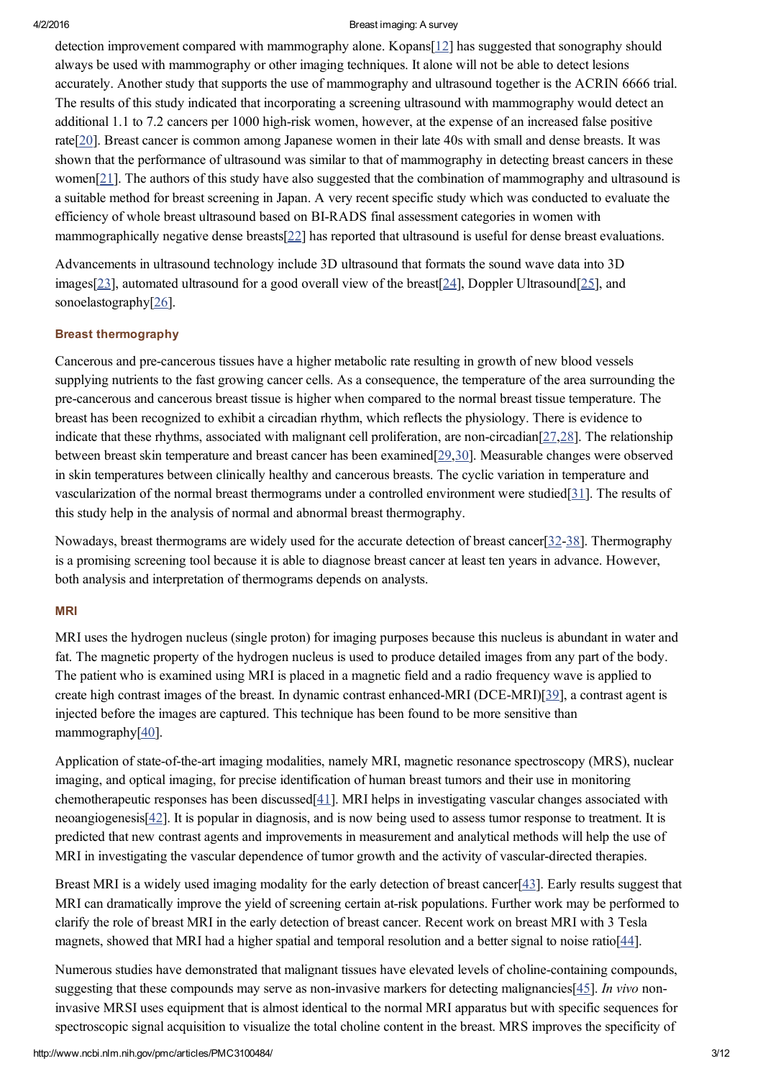detection improvement compared with mammography alone. Kopans[\[12\]](#page-7-11) has suggested that sonography should always be used with mammography or other imaging techniques. It alone will not be able to detect lesions accurately. Another study that supports the use of mammography and ultrasound together is the ACRIN 6666 trial. The results of this study indicated that incorporating a screening ultrasound with mammography would detect an additional 1.1 to 7.2 cancers per 1000 high-risk women, however, at the expense of an increased false positive rate[\[20\]](#page-8-0). Breast cancer is common among Japanese women in their late 40s with small and dense breasts. It was shown that the performance of ultrasound was similar to that of mammography in detecting breast cancers in these women[\[21\]](#page-8-1). The authors of this study have also suggested that the combination of mammography and ultrasound is a suitable method for breast screening in Japan. A very recent specific study which was conducted to evaluate the efficiency of whole breast ultrasound based on BI-RADS final assessment categories in women with mammographically negative dense breasts[\[22\]](#page-8-2) has reported that ultrasound is useful for dense breast evaluations.

Advancements in ultrasound technology include 3D ultrasound that formats the sound wave data into 3D images[\[23\]](#page-8-3), automated ultrasound for a good overall view of the breast[\[24\]](#page-8-4), Doppler Ultrasound[\[25\]](#page-8-5), and sonoelastography[[26](#page-8-6)].

## Breast thermography

Cancerous and pre-cancerous tissues have a higher metabolic rate resulting in growth of new blood vessels supplying nutrients to the fast growing cancer cells. As a consequence, the temperature of the area surrounding the precancerous and cancerous breast tissue is higher when compared to the normal breast tissue temperature. The breast has been recognized to exhibit a circadian rhythm, which reflects the physiology. There is evidence to indicate that these rhythms, associated with malignant cell proliferation, are non-circadian $[27,28]$  $[27,28]$  $[27,28]$ . The relationship between breast skin temperature and breast cancer has been examined[\[29,](#page-8-9)[30\]](#page-8-10). Measurable changes were observed in skin temperatures between clinically healthy and cancerous breasts. The cyclic variation in temperature and vascularization of the normal breast thermograms under a controlled environment were studied[[31\]](#page-8-11). The results of this study help in the analysis of normal and abnormal breast thermography.

Nowadays, breast thermograms are widely used for the accurate detection of breast cancer[ $32-38$  $32-38$  $32-38$ ]. Thermography is a promising screening tool because it is able to diagnose breast cancer at least ten years in advance. However, both analysis and interpretation of thermograms depends on analysts.

## MRI

MRI uses the hydrogen nucleus (single proton) for imaging purposes because this nucleus is abundant in water and fat. The magnetic property of the hydrogen nucleus is used to produce detailed images from any part of the body. The patient who is examined using MRI is placed in a magnetic field and a radio frequency wave is applied to create high contrast images of the breast. In dynamic contrast enhanced-MRI (DCE-MRI)[[39](#page-8-14)], a contrast agent is injected before the images are captured. This technique has been found to be more sensitive than mammography[[40](#page-9-0)].

Application of state-of-the-art imaging modalities, namely MRI, magnetic resonance spectroscopy (MRS), nuclear imaging, and optical imaging, for precise identification of human breast tumors and their use in monitoring chemotherapeutic responses has been discussed[\[41\]](#page-9-1). MRI helps in investigating vascular changes associated with neoangiogenesis[[42](#page-9-2)]. It is popular in diagnosis, and is now being used to assess tumor response to treatment. It is predicted that new contrast agents and improvements in measurement and analytical methods will help the use of MRI in investigating the vascular dependence of tumor growth and the activity of vascular-directed therapies.

Breast MRI is a widely used imaging modality for the early detection of breast cancer[\[43\]](#page-9-3). Early results suggest that MRI can dramatically improve the yield of screening certain atrisk populations. Further work may be performed to clarify the role of breast MRI in the early detection of breast cancer. Recent work on breast MRI with 3 Tesla magnets, showed that MRI had a higher spatial and temporal resolution and a better signal to noise ratio[\[44\]](#page-9-4).

Numerous studies have demonstrated that malignant tissues have elevated levels of choline-containing compounds, suggesting that these compounds may serve as non-invasive markers for detecting malignancies [[45\]](#page-9-5). In vivo noninvasive MRSI uses equipment that is almost identical to the normal MRI apparatus but with specific sequences for spectroscopic signal acquisition to visualize the total choline content in the breast. MRS improves the specificity of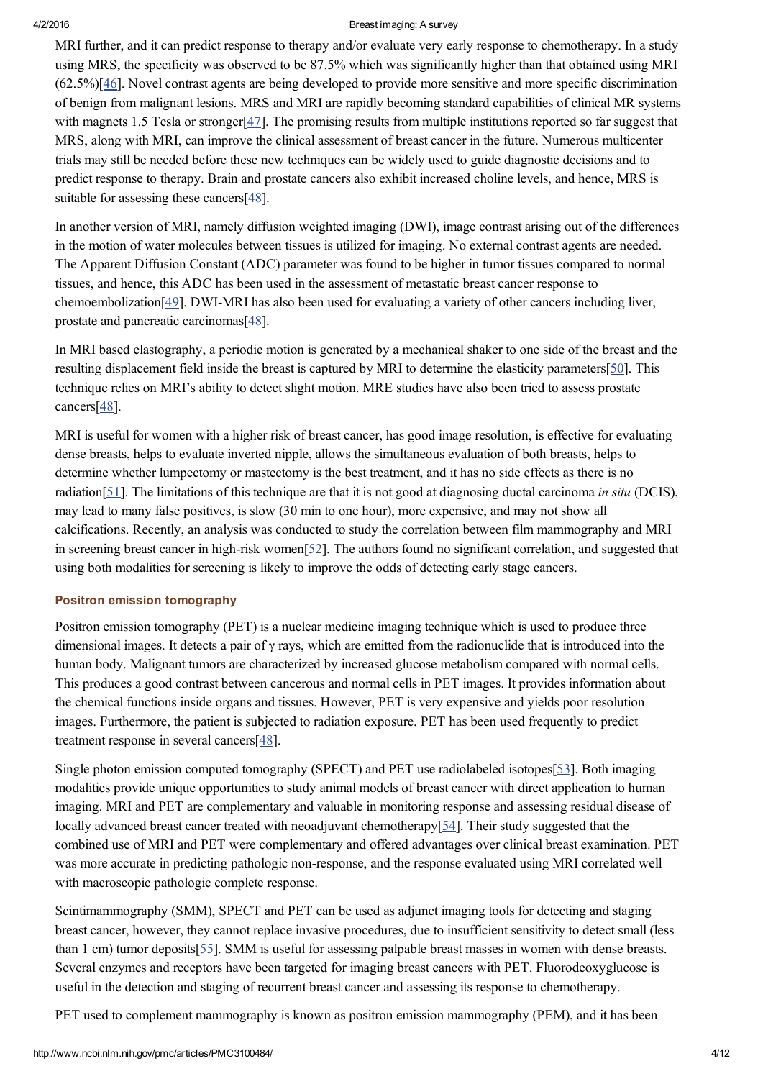MRI further, and it can predict response to therapy and/or evaluate very early response to chemotherapy. In a study using MRS, the specificity was observed to be 87.5% which was significantly higher than that obtained using MRI (62.5%)[[46\]](#page-9-6). Novel contrast agents are being developed to provide more sensitive and more specific discrimination of benign from malignant lesions. MRS and MRI are rapidly becoming standard capabilities of clinical MR systems with magnets 1.5 Tesla or stronger<sup>[\[47](#page-9-7)]</sup>. The promising results from multiple institutions reported so far suggest that MRS, along with MRI, can improve the clinical assessment of breast cancer in the future. Numerous multicenter trials may still be needed before these new techniques can be widely used to guide diagnostic decisions and to predict response to therapy. Brain and prostate cancers also exhibit increased choline levels, and hence, MRS is suitable for assessing these cancers[\[48\]](#page-9-8).

In another version of MRI, namely diffusion weighted imaging (DWI), image contrast arising out of the differences in the motion of water molecules between tissues is utilized for imaging. No external contrast agents are needed. The Apparent Diffusion Constant (ADC) parameter was found to be higher in tumor tissues compared to normal tissues, and hence, this ADC has been used in the assessment of metastatic breast cancer response to chemoembolization $[49]$  $[49]$ . DWI-MRI has also been used for evaluating a variety of other cancers including liver, prostate and pancreatic carcinomas[\[48\]](#page-9-8).

In MRI based elastography, a periodic motion is generated by a mechanical shaker to one side of the breast and the resulting displacement field inside the breast is captured by MRI to determine the elasticity parameters[\[50\]](#page-9-10). This technique relies on MRI's ability to detect slight motion. MRE studies have also been tried to assess prostate cancers[\[48\]](#page-9-8).

MRI is useful for women with a higher risk of breast cancer, has good image resolution, is effective for evaluating dense breasts, helps to evaluate inverted nipple, allows the simultaneous evaluation of both breasts, helps to determine whether lumpectomy or mastectomy is the best treatment, and it has no side effects as there is no radiation[[51](#page-9-11)]. The limitations of this technique are that it is not good at diagnosing ductal carcinoma in situ (DCIS), may lead to many false positives, is slow (30 min to one hour), more expensive, and may not show all calcifications. Recently, an analysis was conducted to study the correlation between film mammography and MRI in screening breast cancer in high-risk women[\[52\]](#page-9-12). The authors found no significant correlation, and suggested that using both modalities for screening is likely to improve the odds of detecting early stage cancers.

## Positron emission tomography

Positron emission tomography (PET) is a nuclear medicine imaging technique which is used to produce three dimensional images. It detects a pair of γ rays, which are emitted from the radionuclide that is introduced into the human body. Malignant tumors are characterized by increased glucose metabolism compared with normal cells. This produces a good contrast between cancerous and normal cells in PET images. It provides information about the chemical functions inside organs and tissues. However, PET is very expensive and yields poor resolution images. Furthermore, the patient is subjected to radiation exposure. PET has been used frequently to predict treatment response in several cancers[[48\]](#page-9-8).

Single photon emission computed tomography (SPECT) and PET use radiolabeled isotopes[\[53\]](#page-9-13). Both imaging modalities provide unique opportunities to study animal models of breast cancer with direct application to human imaging. MRI and PET are complementary and valuable in monitoring response and assessing residual disease of locally advanced breast cancer treated with neoadjuvant chemotherapy[[54](#page-9-14)]. Their study suggested that the combined use of MRI and PET were complementary and offered advantages over clinical breast examination. PET was more accurate in predicting pathologic non-response, and the response evaluated using MRI correlated well with macroscopic pathologic complete response.

Scintimammography (SMM), SPECT and PET can be used as adjunct imaging tools for detecting and staging breast cancer, however, they cannot replace invasive procedures, due to insufficient sensitivity to detect small (less than 1 cm) tumor deposits[\[55\]](#page-9-15). SMM is useful for assessing palpable breast masses in women with dense breasts. Several enzymes and receptors have been targeted for imaging breast cancers with PET. Fluorodeoxyglucose is useful in the detection and staging of recurrent breast cancer and assessing its response to chemotherapy.

PET used to complement mammography is known as positron emission mammography (PEM), and it has been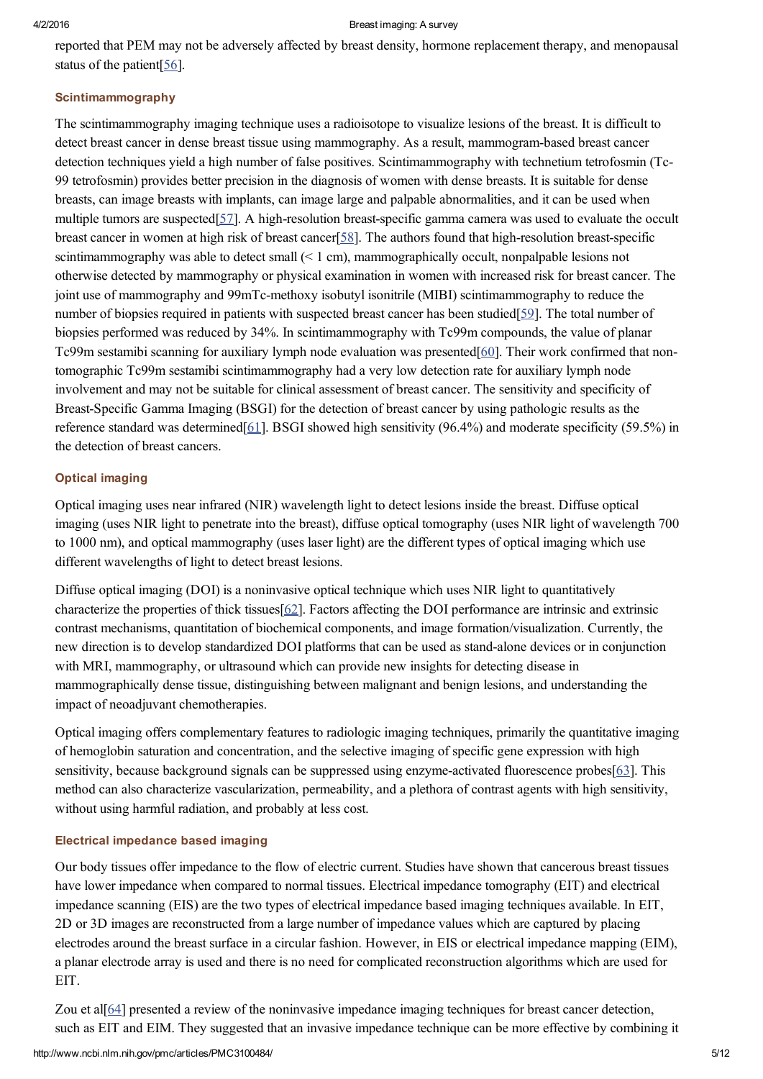reported that PEM may not be adversely affected by breast density, hormone replacement therapy, and menopausal status of the patient[\[56\]](#page-9-16).

## **Scintimammography**

The scintimammography imaging technique uses a radioisotope to visualize lesions of the breast. It is difficult to detect breast cancer in dense breast tissue using mammography. As a result, mammogram-based breast cancer detection techniques yield a high number of false positives. Scintimammography with technetium tetrofosmin (Tc-99 tetrofosmin) provides better precision in the diagnosis of women with dense breasts. It is suitable for dense breasts, can image breasts with implants, can image large and palpable abnormalities, and it can be used when multiple tumors are suspected  $[57]$  $[57]$ . A high-resolution breast-specific gamma camera was used to evaluate the occult breast cancer in women at high risk of breast cancer[\[58\]](#page-9-18). The authors found that high-resolution breast-specific scintimammography was able to detect small (< 1 cm), mammographically occult, nonpalpable lesions not otherwise detected by mammography or physical examination in women with increased risk for breast cancer. The joint use of mammography and 99mTc-methoxy isobutyl isonitrile (MIBI) scintimammography to reduce the number of biopsies required in patients with suspected breast cancer has been studied[\[59\]](#page-10-0). The total number of biopsies performed was reduced by 34%. In scintimammography with Tc99m compounds, the value of planar Tc99m sestamibi scanning for auxiliary lymph node evaluation was presented[\[60\]](#page-10-1). Their work confirmed that nontomographic Tc99m sestamibi scintimammography had a very low detection rate for auxiliary lymph node involvement and may not be suitable for clinical assessment of breast cancer. The sensitivity and specificity of Breast-Specific Gamma Imaging (BSGI) for the detection of breast cancer by using pathologic results as the reference standard was determined $[61]$  $[61]$ . BSGI showed high sensitivity (96.4%) and moderate specificity (59.5%) in the detection of breast cancers.

## Optical imaging

Optical imaging uses near infrared (NIR) wavelength light to detect lesions inside the breast. Diffuse optical imaging (uses NIR light to penetrate into the breast), diffuse optical tomography (uses NIR light of wavelength 700 to 1000 nm), and optical mammography (uses laser light) are the different types of optical imaging which use different wavelengths of light to detect breast lesions.

Diffuse optical imaging (DOI) is a noninvasive optical technique which uses NIR light to quantitatively characterize the properties of thick tissues  $[62]$ . Factors affecting the DOI performance are intrinsic and extrinsic contrast mechanisms, quantitation of biochemical components, and image formation/visualization. Currently, the new direction is to develop standardized DOI platforms that can be used as standalone devices or in conjunction with MRI, mammography, or ultrasound which can provide new insights for detecting disease in mammographically dense tissue, distinguishing between malignant and benign lesions, and understanding the impact of neoadjuvant chemotherapies.

Optical imaging offers complementary features to radiologic imaging techniques, primarily the quantitative imaging of hemoglobin saturation and concentration, and the selective imaging of specific gene expression with high sensitivity, because background signals can be suppressed using enzyme-activated fluorescence probes $[63]$  $[63]$ . This method can also characterize vascularization, permeability, and a plethora of contrast agents with high sensitivity, without using harmful radiation, and probably at less cost.

## Electrical impedance based imaging

Our body tissues offer impedance to the flow of electric current. Studies have shown that cancerous breast tissues have lower impedance when compared to normal tissues. Electrical impedance tomography (EIT) and electrical impedance scanning (EIS) are the two types of electrical impedance based imaging techniques available. In EIT, 2D or 3D images are reconstructed from a large number of impedance values which are captured by placing electrodes around the breast surface in a circular fashion. However, in EIS or electrical impedance mapping (EIM), a planar electrode array is used and there is no need for complicated reconstruction algorithms which are used for EIT.

Zou et al[\[64\]](#page-10-5) presented a review of the noninvasive impedance imaging techniques for breast cancer detection, such as EIT and EIM. They suggested that an invasive impedance technique can be more effective by combining it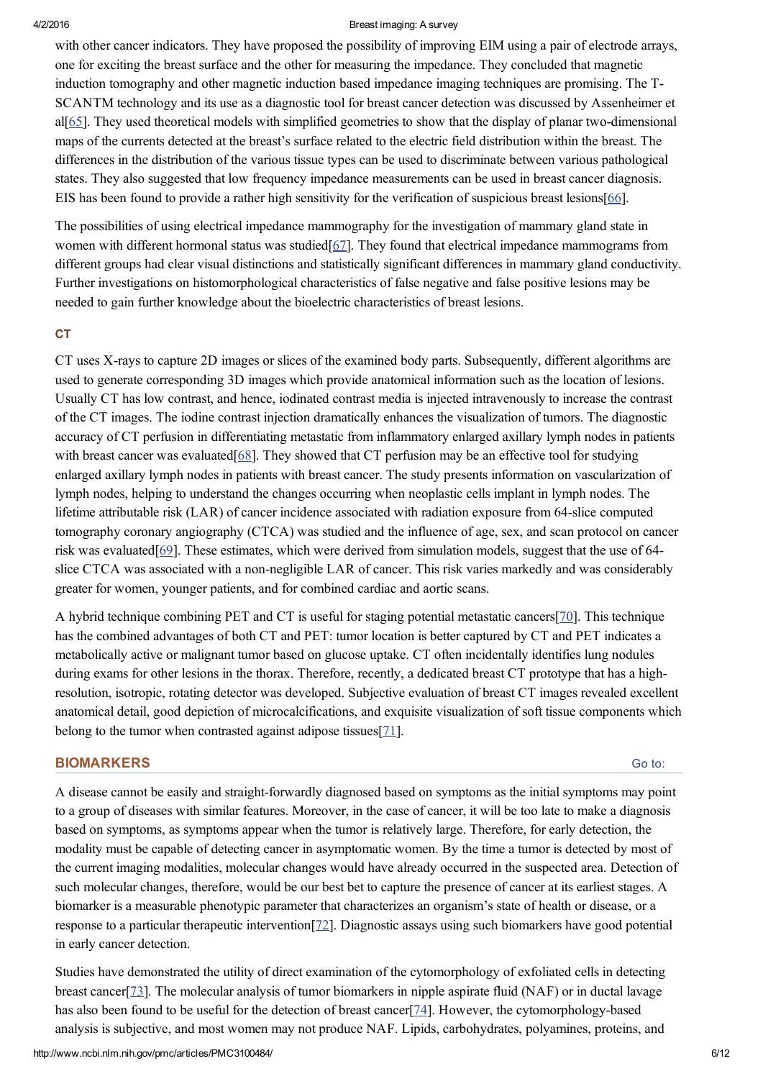with other cancer indicators. They have proposed the possibility of improving EIM using a pair of electrode arrays, one for exciting the breast surface and the other for measuring the impedance. They concluded that magnetic induction tomography and other magnetic induction based impedance imaging techniques are promising. The T-SCANTM technology and its use as a diagnostic tool for breast cancer detection was discussed by Assenheimer et  $al[65]$  $al[65]$ . They used theoretical models with simplified geometries to show that the display of planar two-dimensional maps of the currents detected at the breast's surface related to the electric field distribution within the breast. The differences in the distribution of the various tissue types can be used to discriminate between various pathological states. They also suggested that low frequency impedance measurements can be used in breast cancer diagnosis. EIS has been found to provide a rather high sensitivity for the verification of suspicious breast lesions[\[66\]](#page-10-7).

The possibilities of using electrical impedance mammography for the investigation of mammary gland state in women with different hormonal status was studied $[67]$ . They found that electrical impedance mammograms from different groups had clear visual distinctions and statistically significant differences in mammary gland conductivity. Further investigations on histomorphological characteristics of false negative and false positive lesions may be needed to gain further knowledge about the bioelectric characteristics of breast lesions.

## **CT**

CT uses X-rays to capture 2D images or slices of the examined body parts. Subsequently, different algorithms are used to generate corresponding 3D images which provide anatomical information such as the location of lesions. Usually CT has low contrast, and hence, iodinated contrast media is injected intravenously to increase the contrast of the CT images. The iodine contrast injection dramatically enhances the visualization of tumors. The diagnostic accuracy of CT perfusion in differentiating metastatic from inflammatory enlarged axillary lymph nodes in patients with breast cancer was evaluated [\[68\]](#page-10-9). They showed that CT perfusion may be an effective tool for studying enlarged axillary lymph nodes in patients with breast cancer. The study presents information on vascularization of lymph nodes, helping to understand the changes occurring when neoplastic cells implant in lymph nodes. The lifetime attributable risk (LAR) of cancer incidence associated with radiation exposure from 64-slice computed tomography coronary angiography (CTCA) was studied and the influence of age, sex, and scan protocol on cancer risk was evaluated[[69](#page-10-10)]. These estimates, which were derived from simulation models, suggest that the use of 64 slice CTCA was associated with a non-negligible LAR of cancer. This risk varies markedly and was considerably greater for women, younger patients, and for combined cardiac and aortic scans.

A hybrid technique combining PET and CT is useful for staging potential metastatic cancers[\[70\]](#page-10-11). This technique has the combined advantages of both CT and PET: tumor location is better captured by CT and PET indicates a metabolically active or malignant tumor based on glucose uptake. CT often incidentally identifies lung nodules during exams for other lesions in the thorax. Therefore, recently, a dedicated breast CT prototype that has a highresolution, isotropic, rotating detector was developed. Subjective evaluation of breast CT images revealed excellent anatomical detail, good depiction of microcalcifications, and exquisite visualization of soft tissue components which belong to the tumor when contrasted against adipose tissues[\[71\]](#page-10-12).

## BIOMARKERS

Go to:

A disease cannot be easily and straight-forwardly diagnosed based on symptoms as the initial symptoms may point to a group of diseases with similar features. Moreover, in the case of cancer, it will be too late to make a diagnosis based on symptoms, as symptoms appear when the tumor is relatively large. Therefore, for early detection, the modality must be capable of detecting cancer in asymptomatic women. By the time a tumor is detected by most of the current imaging modalities, molecular changes would have already occurred in the suspected area. Detection of such molecular changes, therefore, would be our best bet to capture the presence of cancer at its earliest stages. A biomarker is a measurable phenotypic parameter that characterizes an organism's state of health or disease, or a response to a particular therapeutic intervention[[72](#page-10-13)]. Diagnostic assays using such biomarkers have good potential in early cancer detection.

Studies have demonstrated the utility of direct examination of the cytomorphology of exfoliated cells in detecting breast cancer[[73\]](#page-10-14). The molecular analysis of tumor biomarkers in nipple aspirate fluid (NAF) or in ductal lavage has also been found to be useful for the detection of breast cancer[\[74](#page-10-15)]. However, the cytomorphology-based analysis is subjective, and most women may not produce NAF. Lipids, carbohydrates, polyamines, proteins, and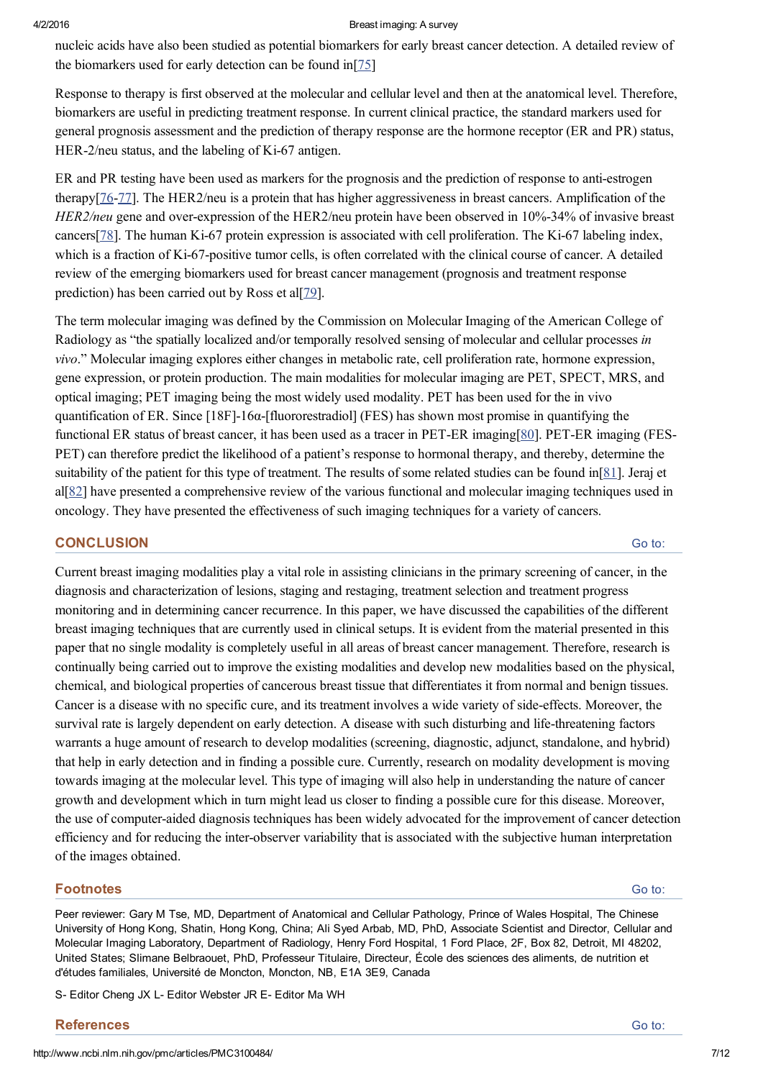nucleic acids have also been studied as potential biomarkers for early breast cancer detection. A detailed review of the biomarkers used for early detection can be found in[[75](#page-10-16)]

Response to therapy is first observed at the molecular and cellular level and then at the anatomical level. Therefore, biomarkers are useful in predicting treatment response. In current clinical practice, the standard markers used for general prognosis assessment and the prediction of therapy response are the hormone receptor (ER and PR) status, HER-2/neu status, and the labeling of Ki-67 antigen.

ER and PR testing have been used as markers for the prognosis and the prediction of response to antiestrogen therapy $[76-77]$  $[76-77]$  $[76-77]$ . The HER2/neu is a protein that has higher aggressiveness in breast cancers. Amplification of the HER2/neu gene and over-expression of the HER2/neu protein have been observed in 10%-34% of invasive breast cancers<sup>[\[78\]](#page-11-2)</sup>. The human Ki-67 protein expression is associated with cell proliferation. The Ki-67 labeling index, which is a fraction of Ki-67-positive tumor cells, is often correlated with the clinical course of cancer. A detailed review of the emerging biomarkers used for breast cancer management (prognosis and treatment response prediction) has been carried out by Ross et al[\[79\]](#page-11-3).

The term molecular imaging was defined by the Commission on Molecular Imaging of the American College of Radiology as "the spatially localized and/or temporally resolved sensing of molecular and cellular processes in vivo." Molecular imaging explores either changes in metabolic rate, cell proliferation rate, hormone expression, gene expression, or protein production. The main modalities for molecular imaging are PET, SPECT, MRS, and optical imaging; PET imaging being the most widely used modality. PET has been used for the in vivo quantification of ER. Since [18F]-16α-[fluororestradiol] (FES) has shown most promise in quantifying the functional ER status of breast cancer, it has been used as a tracer in PET-ER imaging[\[80\]](#page-11-4). PET-ER imaging (FES-PET) can therefore predict the likelihood of a patient's response to hormonal therapy, and thereby, determine the suitability of the patient for this type of treatment. The results of some related studies can be found in[ $81$ ]. Jeraj et al[\[82\]](#page-11-6) have presented a comprehensive review of the various functional and molecular imaging techniques used in oncology. They have presented the effectiveness of such imaging techniques for a variety of cancers.

## **CONCLUSION**

Go to:

Current breast imaging modalities play a vital role in assisting clinicians in the primary screening of cancer, in the diagnosis and characterization of lesions, staging and restaging, treatment selection and treatment progress monitoring and in determining cancer recurrence. In this paper, we have discussed the capabilities of the different breast imaging techniques that are currently used in clinical setups. It is evident from the material presented in this paper that no single modality is completely useful in all areas of breast cancer management. Therefore, research is continually being carried out to improve the existing modalities and develop new modalities based on the physical, chemical, and biological properties of cancerous breast tissue that differentiates it from normal and benign tissues. Cancer is a disease with no specific cure, and its treatment involves a wide variety of sideeffects. Moreover, the survival rate is largely dependent on early detection. A disease with such disturbing and life-threatening factors warrants a huge amount of research to develop modalities (screening, diagnostic, adjunct, standalone, and hybrid) that help in early detection and in finding a possible cure. Currently, research on modality development is moving towards imaging at the molecular level. This type of imaging will also help in understanding the nature of cancer growth and development which in turn might lead us closer to finding a possible cure for this disease. Moreover, the use of computer-aided diagnosis techniques has been widely advocated for the improvement of cancer detection efficiency and for reducing the interobserver variability that is associated with the subjective human interpretation of the images obtained.

## **Footnotes**

Go to:

Peer reviewer: Gary M Tse, MD, Department of Anatomical and Cellular Pathology, Prince of Wales Hospital, The Chinese University of Hong Kong, Shatin, Hong Kong, China; Ali Syed Arbab, MD, PhD, Associate Scientist and Director, Cellular and Molecular Imaging Laboratory, Department of Radiology, Henry Ford Hospital, 1 Ford Place, 2F, Box 82, Detroit, MI 48202, United States; Slimane Belbraouet, PhD, Professeur Titulaire, Directeur, École des sciences des aliments, de nutrition et d'études familiales, Université de Moncton, Moncton, NB, E1A 3E9, Canada

S- Editor Cheng JX L- Editor Webster JR E- Editor Ma WH

## **References**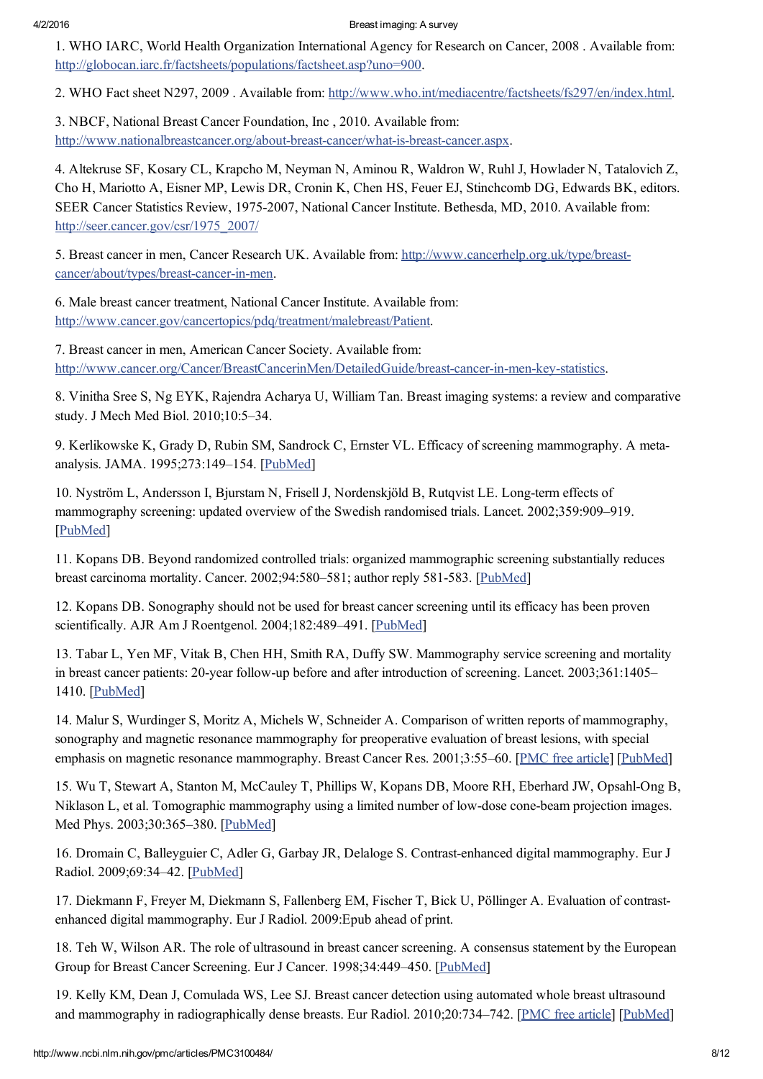<span id="page-7-0"></span>1. WHO IARC, World Health Organization International Agency for Research on Cancer, 2008 . Available from: <http://globocan.iarc.fr/factsheets/populations/factsheet.asp?uno=900>.

<span id="page-7-1"></span>2. WHO Fact sheet N297, 2009 . Available from: [http://www.who.int/mediacentre/factsheets/fs297/en/index.html.](http://www.who.int/mediacentre/factsheets/fs297/en/index.html)

<span id="page-7-2"></span>3. NBCF, National Breast Cancer Foundation, Inc , 2010. Available from: http://www.nationalbreastcancer.org/about-breast-cancer/what-is-breast-cancer.aspx.

<span id="page-7-3"></span>4. Altekruse SF, Kosary CL, Krapcho M, Neyman N, Aminou R, Waldron W, Ruhl J, Howlader N, Tatalovich Z, Cho H, Mariotto A, Eisner MP, Lewis DR, Cronin K, Chen HS, Feuer EJ, Stinchcomb DG, Edwards BK, editors. SEER Cancer Statistics Review, 1975-2007, National Cancer Institute. Bethesda, MD, 2010. Available from: [http://seer.cancer.gov/csr/1975\\_2007/](http://seer.cancer.gov/csr/1975_2007/)

<span id="page-7-4"></span>5. Breast cancer in men, Cancer Research UK. Available from: [http://www.cancerhelp.org.uk/type/breast](http://www.cancerhelp.org.uk/type/breast-cancer/about/types/breast-cancer-in-men)cancer/about/types/breast-cancer-in-men.

6. Male breast cancer treatment, National Cancer Institute. Available from: <http://www.cancer.gov/cancertopics/pdq/treatment/malebreast/Patient>.

<span id="page-7-5"></span>7. Breast cancer in men, American Cancer Society. Available from: http://www.cancer.org/Cancer/BreastCancerinMen/DetailedGuide/breast-cancer-in-men-key-statistics.

<span id="page-7-6"></span>8. Vinitha Sree S, Ng EYK, Rajendra Acharya U, William Tan. Breast imaging systems: a review and comparative study. J Mech Med Biol. 2010;10:5–34.

<span id="page-7-7"></span>9. Kerlikowske K, Grady D, Rubin SM, Sandrock C, Ernster VL. Efficacy of screening mammography. A metaanalysis. JAMA. 1995;273:149–154. [[PubMed](http://www.ncbi.nlm.nih.gov/pubmed/7799496)]

<span id="page-7-8"></span>10. Nyström L, Andersson I, Bjurstam N, Frisell J, Nordenskjöld B, Rutqvist LE. Long-term effects of mammography screening: updated overview of the Swedish randomised trials. Lancet. 2002;359:909–919. [[PubMed\]](http://www.ncbi.nlm.nih.gov/pubmed/11918907)

<span id="page-7-9"></span>11. Kopans DB. Beyond randomized controlled trials: organized mammographic screening substantially reduces breast carcinoma mortality. Cancer. 2002;94:580–581; author reply 581-583. [\[PubMed\]](http://www.ncbi.nlm.nih.gov/pubmed/11900247)

<span id="page-7-11"></span>12. Kopans DB. Sonography should not be used for breast cancer screening until its efficacy has been proven scientifically. AJR Am J Roentgenol. 2004;182:489–491. [[PubMed](http://www.ncbi.nlm.nih.gov/pubmed/14736687)]

<span id="page-7-10"></span>13. Tabar L, Yen MF, Vitak B, Chen HH, Smith RA, Duffy SW. Mammography service screening and mortality in breast cancer patients: 20-year follow-up before and after introduction of screening. Lancet. 2003;361:1405– 1410. [\[PubMed\]](http://www.ncbi.nlm.nih.gov/pubmed/12727392)

<span id="page-7-12"></span>14. Malur S, Wurdinger S, Moritz A, Michels W, Schneider A. Comparison of written reports of mammography, sonography and magnetic resonance mammography for preoperative evaluation of breast lesions, with special emphasis on magnetic resonance mammography. Breast Cancer Res. 2001;3:55–60. [PMC free [article](http://www.ncbi.nlm.nih.gov/pmc/articles/PMC13900/)] [[PubMed](http://www.ncbi.nlm.nih.gov/pubmed/11250746)]

<span id="page-7-13"></span>15. Wu T, Stewart A, Stanton M, McCauley T, Phillips W, Kopans DB, Moore RH, Eberhard JW, OpsahlOng B, Niklason L, et al. Tomographic mammography using a limited number of low-dose cone-beam projection images. Med Phys. 2003;30:365–380. [[PubMed](http://www.ncbi.nlm.nih.gov/pubmed/12674237)]

<span id="page-7-14"></span>16. Dromain C, Balleyguier C, Adler G, Garbay JR, Delaloge S. Contrastenhanced digital mammography. Eur J Radiol. 2009;69:34–42. [\[PubMed\]](http://www.ncbi.nlm.nih.gov/pubmed/18790584)

<span id="page-7-15"></span>17. Diekmann F, Freyer M, Diekmann S, Fallenberg EM, Fischer T, Bick U, Pöllinger A. Evaluation of contrastenhanced digital mammography. Eur J Radiol. 2009:Epub ahead of print.

<span id="page-7-16"></span>18. Teh W, Wilson AR. The role of ultrasound in breast cancer screening. A consensus statement by the European Group for Breast Cancer Screening. Eur J Cancer. 1998;34:449–450. [[PubMed\]](http://www.ncbi.nlm.nih.gov/pubmed/9713292)

<span id="page-7-17"></span>19. Kelly KM, Dean J, Comulada WS, Lee SJ. Breast cancer detection using automated whole breast ultrasound and mammography in radiographically dense breasts. Eur Radiol. 2010;20:734–742. [PMC free [article\]](http://www.ncbi.nlm.nih.gov/pmc/articles/PMC2822222/) [\[PubMed\]](http://www.ncbi.nlm.nih.gov/pubmed/19727744)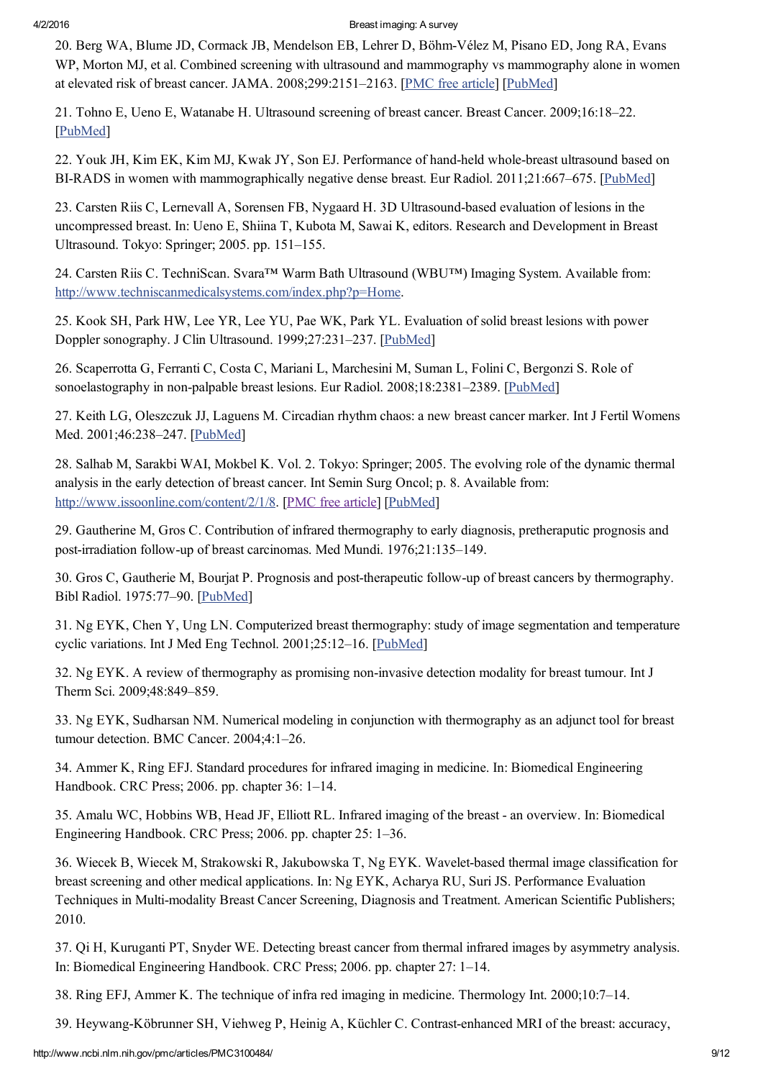<span id="page-8-0"></span>20. Berg WA, Blume JD, Cormack JB, Mendelson EB, Lehrer D, Böhm-Vélez M, Pisano ED, Jong RA, Evans WP, Morton MJ, et al. Combined screening with ultrasound and mammography vs mammography alone in women at elevated risk of breast cancer. JAMA. 2008;299:2151–2163. [PMC free [article\]](http://www.ncbi.nlm.nih.gov/pmc/articles/PMC2718688/) [\[PubMed\]](http://www.ncbi.nlm.nih.gov/pubmed/18477782)

<span id="page-8-1"></span>21. Tohno E, Ueno E, Watanabe H. Ultrasound screening of breast cancer. Breast Cancer. 2009;16:18–22. [[PubMed\]](http://www.ncbi.nlm.nih.gov/pubmed/19009372)

<span id="page-8-2"></span>22. Youk JH, Kim EK, Kim MJ, Kwak JY, Son EJ. Performance of hand-held whole-breast ultrasound based on BI-RADS in women with mammographically negative dense breast. Eur Radiol. 2011;21:667–675. [\[PubMed\]](http://www.ncbi.nlm.nih.gov/pubmed/20853108)

<span id="page-8-3"></span>23. Carsten Riis C, Lernevall A, Sorensen FB, Nygaard H, 3D Ultrasound-based evaluation of lesions in the uncompressed breast. In: Ueno E, Shiina T, Kubota M, Sawai K, editors. Research and Development in Breast Ultrasound. Tokyo: Springer; 2005. pp. 151–155.

<span id="page-8-4"></span>24. Carsten Riis C. TechniScan. Svara™ Warm Bath Ultrasound (WBU™) Imaging System. Available from: <http://www.techniscanmedicalsystems.com/index.php?p=Home>.

<span id="page-8-5"></span>25. Kook SH, Park HW, Lee YR, Lee YU, Pae WK, Park YL. Evaluation of solid breast lesions with power Doppler sonography. J Clin Ultrasound. 1999;27:231–237. [[PubMed\]](http://www.ncbi.nlm.nih.gov/pubmed/10355886)

<span id="page-8-6"></span>26. Scaperrotta G, Ferranti C, Costa C, Mariani L, Marchesini M, Suman L, Folini C, Bergonzi S. Role of sonoelastography in non-palpable breast lesions. Eur Radiol. 2008;18:2381-2389. [[PubMed\]](http://www.ncbi.nlm.nih.gov/pubmed/18523780)

<span id="page-8-7"></span>27. Keith LG, Oleszczuk JJ, Laguens M. Circadian rhythm chaos: a new breast cancer marker. Int J Fertil Womens Med. 2001;46:238–247. [\[PubMed\]](http://www.ncbi.nlm.nih.gov/pubmed/11720196)

<span id="page-8-8"></span>28. Salhab M, Sarakbi WAI, Mokbel K. Vol. 2. Tokyo: Springer; 2005. The evolving role of the dynamic thermal analysis in the early detection of breast cancer. Int Semin Surg Oncol; p. 8. Available from: [http://www.issoonline.com/content/2/1/8.](http://www.issoonline.com/content/2/1/8) [PMC free [article](http://www.ncbi.nlm.nih.gov/pmc/articles/PMC1084358/)] [[PubMed](http://www.ncbi.nlm.nih.gov/pubmed/15819982)]

<span id="page-8-9"></span>29. Gautherine M, Gros C. Contribution of infrared thermography to early diagnosis, pretheraputic prognosis and post-irradiation follow-up of breast carcinomas. Med Mundi. 1976;21:135–149.

<span id="page-8-10"></span>30. Gros C, Gautherie M, Bourjat P. Prognosis and posttherapeutic followup of breast cancers by thermography. Bibl Radiol. 1975:77–90. [[PubMed\]](http://www.ncbi.nlm.nih.gov/pubmed/1180864)

<span id="page-8-11"></span>31. Ng EYK, Chen Y, Ung LN. Computerized breast thermography: study of image segmentation and temperature cyclic variations. Int J Med Eng Technol. 2001;25:12–16. [\[PubMed\]](http://www.ncbi.nlm.nih.gov/pubmed/11345095)

<span id="page-8-12"></span>32. Ng EYK. A review of thermography as promising non-invasive detection modality for breast tumour. Int J Therm Sci. 2009;48:849–859.

33. Ng EYK, Sudharsan NM. Numerical modeling in conjunction with thermography as an adjunct tool for breast tumour detection. BMC Cancer. 2004;4:1–26.

34. Ammer K, Ring EFJ. Standard procedures for infrared imaging in medicine. In: Biomedical Engineering Handbook. CRC Press; 2006. pp. chapter 36: 1–14.

35. Amalu WC, Hobbins WB, Head JF, Elliott RL. Infrared imaging of the breast an overview. In: Biomedical Engineering Handbook. CRC Press; 2006. pp. chapter 25: 1–36.

36. Wiecek B, Wiecek M, Strakowski R, Jakubowska T, Ng EYK. Wavelet-based thermal image classification for breast screening and other medical applications. In: Ng EYK, Acharya RU, Suri JS. Performance Evaluation Techniques in Multi-modality Breast Cancer Screening, Diagnosis and Treatment. American Scientific Publishers; 2010.

37. Qi H, Kuruganti PT, Snyder WE. Detecting breast cancer from thermal infrared images by asymmetry analysis. In: Biomedical Engineering Handbook. CRC Press; 2006. pp. chapter 27: 1–14.

<span id="page-8-13"></span>38. Ring EFJ, Ammer K. The technique of infra red imaging in medicine. Thermology Int. 2000;10:7–14.

<span id="page-8-14"></span>39. Heywang-Köbrunner SH, Viehweg P, Heinig A, Küchler C. Contrast-enhanced MRI of the breast: accuracy,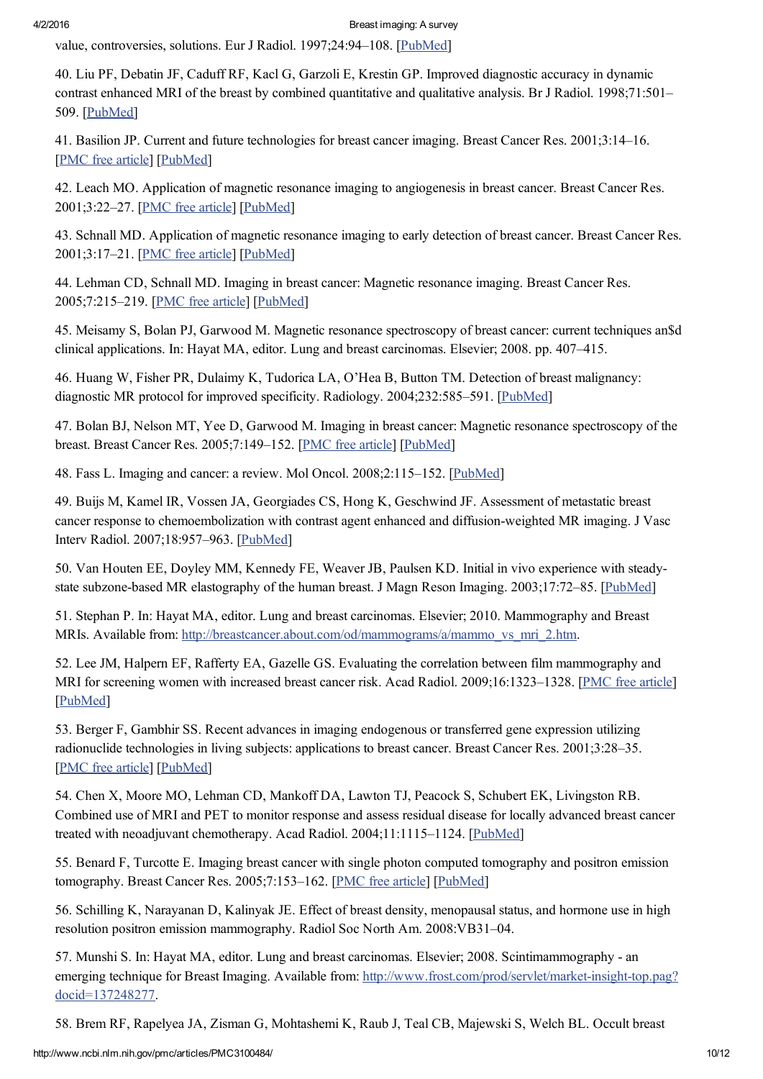value, controversies, solutions. Eur J Radiol. 1997;24:94-108. [\[PubMed\]](http://www.ncbi.nlm.nih.gov/pubmed/9097051)

<span id="page-9-0"></span>40. Liu PF, Debatin JF, Caduff RF, Kacl G, Garzoli E, Krestin GP. Improved diagnostic accuracy in dynamic contrast enhanced MRI of the breast by combined quantitative and qualitative analysis. Br J Radiol. 1998;71:501– 509. [\[PubMed](http://www.ncbi.nlm.nih.gov/pubmed/9691895)]

<span id="page-9-1"></span>41. Basilion JP. Current and future technologies for breast cancer imaging. Breast Cancer Res. 2001;3:14–16. [PMC free [article\]](http://www.ncbi.nlm.nih.gov/pmc/articles/PMC138671/) [\[PubMed](http://www.ncbi.nlm.nih.gov/pubmed/11300100)]

<span id="page-9-2"></span>42. Leach MO. Application of magnetic resonance imaging to angiogenesis in breast cancer. Breast Cancer Res. 2001;3:22–27. [PMC free [article](http://www.ncbi.nlm.nih.gov/pmc/articles/PMC138673/)] [[PubMed\]](http://www.ncbi.nlm.nih.gov/pubmed/11300102)

<span id="page-9-3"></span>43. Schnall MD. Application of magnetic resonance imaging to early detection of breast cancer. Breast Cancer Res. 2001;3:17–21. [PMC free [article](http://www.ncbi.nlm.nih.gov/pmc/articles/PMC138672/)] [[PubMed\]](http://www.ncbi.nlm.nih.gov/pubmed/11300101)

<span id="page-9-4"></span>44. Lehman CD, Schnall MD. Imaging in breast cancer: Magnetic resonance imaging. Breast Cancer Res. 2005;7:215–219. [PMC free [article\]](http://www.ncbi.nlm.nih.gov/pmc/articles/PMC1242161/) [\[PubMed\]](http://www.ncbi.nlm.nih.gov/pubmed/16168141)

<span id="page-9-5"></span>45. Meisamy S, Bolan PJ, Garwood M. Magnetic resonance spectroscopy of breast cancer: current techniques an\$d clinical applications. In: Hayat MA, editor. Lung and breast carcinomas. Elsevier; 2008. pp. 407–415.

<span id="page-9-6"></span>46. Huang W, Fisher PR, Dulaimy K, Tudorica LA, O'Hea B, Button TM. Detection of breast malignancy: diagnostic MR protocol for improved specificity. Radiology. 2004;232:585-591. [\[PubMed\]](http://www.ncbi.nlm.nih.gov/pubmed/15205478)

<span id="page-9-7"></span>47. Bolan BJ, Nelson MT, Yee D, Garwood M. Imaging in breast cancer: Magnetic resonance spectroscopy of the breast. Breast Cancer Res. 2005;7:149–152. [PMC free [article\]](http://www.ncbi.nlm.nih.gov/pmc/articles/PMC1175074/) [\[PubMed](http://www.ncbi.nlm.nih.gov/pubmed/15987466)]

<span id="page-9-8"></span>48. Fass L. Imaging and cancer: a review. Mol Oncol. 2008;2:115–152. [\[PubMed\]](http://www.ncbi.nlm.nih.gov/pubmed/19383333)

<span id="page-9-9"></span>49. Buijs M, Kamel IR, Vossen JA, Georgiades CS, Hong K, Geschwind JF. Assessment of metastatic breast cancer response to chemoembolization with contrast agent enhanced and diffusionweighted MR imaging. J Vasc Interv Radiol. 2007;18:957–963. [[PubMed\]](http://www.ncbi.nlm.nih.gov/pubmed/17675611)

<span id="page-9-10"></span>50. Van Houten EE, Doyley MM, Kennedy FE, Weaver JB, Paulsen KD. Initial in vivo experience with steady-state subzone-based MR elastography of the human breast. J Magn Reson Imaging. 2003;17:72–85. [\[PubMed](http://www.ncbi.nlm.nih.gov/pubmed/12500276)]

<span id="page-9-11"></span>51. Stephan P. In: Hayat MA, editor. Lung and breast carcinomas. Elsevier; 2010. Mammography and Breast MRIs. Available from: [http://breastcancer.about.com/od/mammograms/a/mammo\\_vs\\_mri\\_2.htm.](http://breastcancer.about.com/od/mammograms/a/mammo_vs_mri_2.htm)

<span id="page-9-12"></span>52. Lee JM, Halpern EF, Rafferty EA, Gazelle GS. Evaluating the correlation between film mammography and MRI for screening women with increased breast cancer risk. Acad Radiol. 2009;16:1323-1328. [PMC free [article\]](http://www.ncbi.nlm.nih.gov/pmc/articles/PMC2763935/) [[PubMed\]](http://www.ncbi.nlm.nih.gov/pubmed/19632865)

<span id="page-9-13"></span>53. Berger F, Gambhir SS. Recent advances in imaging endogenous or transferred gene expression utilizing radionuclide technologies in living subjects: applications to breast cancer. Breast Cancer Res. 2001;3:28–35. [PMC free [article\]](http://www.ncbi.nlm.nih.gov/pmc/articles/PMC139436/) [\[PubMed](http://www.ncbi.nlm.nih.gov/pubmed/11250742)]

<span id="page-9-14"></span>54. Chen X, Moore MO, Lehman CD, Mankoff DA, Lawton TJ, Peacock S, Schubert EK, Livingston RB. Combined use of MRI and PET to monitor response and assess residual disease for locally advanced breast cancer treated with neoadjuvant chemotherapy. Acad Radiol. 2004;11:1115–1124. [[PubMed](http://www.ncbi.nlm.nih.gov/pubmed/15530804)]

<span id="page-9-15"></span>55. Benard F, Turcotte E. Imaging breast cancer with single photon computed tomography and positron emission tomography. Breast Cancer Res. 2005;7:153-162. [PMC free [article\]](http://www.ncbi.nlm.nih.gov/pmc/articles/PMC1175073/) [\[PubMed\]](http://www.ncbi.nlm.nih.gov/pubmed/15987467)

<span id="page-9-16"></span>56. Schilling K, Narayanan D, Kalinyak JE. Effect of breast density, menopausal status, and hormone use in high resolution positron emission mammography. Radiol Soc North Am. 2008:VB31–04.

<span id="page-9-17"></span>57. Munshi S. In: Hayat MA, editor. Lung and breast carcinomas. Elsevier; 2008. Scintimammography - an emerging technique for Breast Imaging. Available from: http://www.frost.com/prod/servlet/market-insight-top.pag? docid=137248277.

<span id="page-9-18"></span>58. Brem RF, Rapelyea JA, Zisman G, Mohtashemi K, Raub J, Teal CB, Majewski S, Welch BL. Occult breast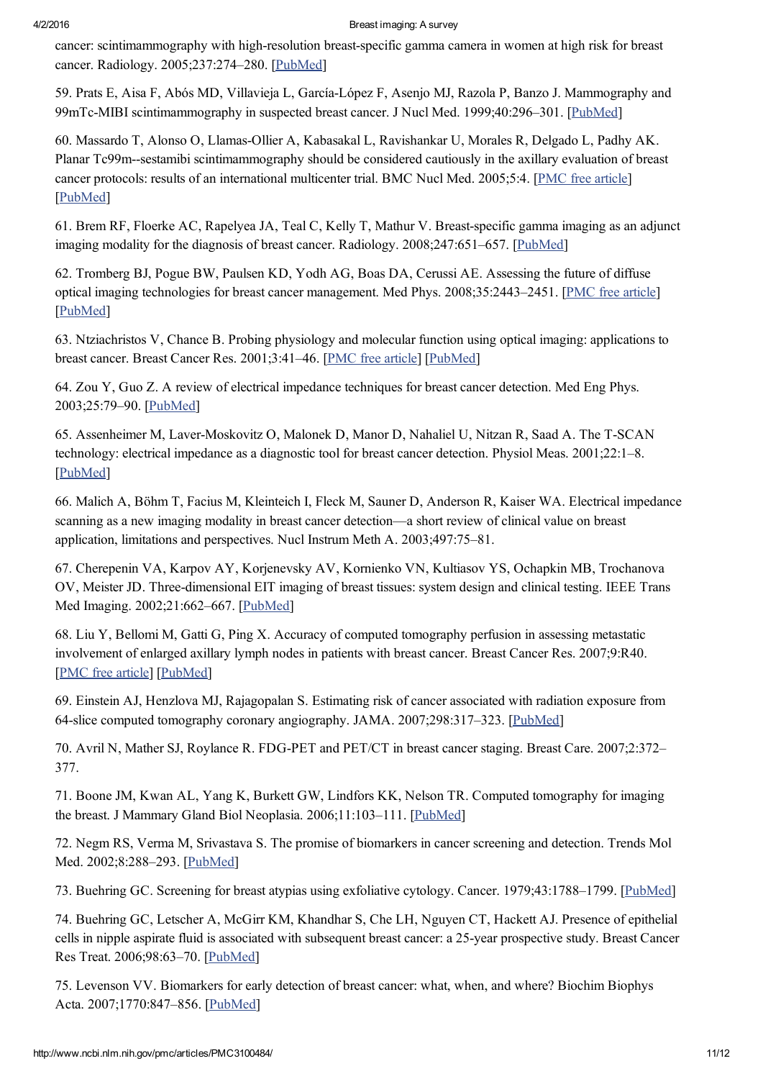cancer: scintimammography with high-resolution breast-specific gamma camera in women at high risk for breast cancer. Radiology. 2005;237:274–280. [[PubMed\]](http://www.ncbi.nlm.nih.gov/pubmed/16126919)

<span id="page-10-0"></span>59. Prats E, Aisa F, Abós MD, Villavieja L, GarcíaLópez F, Asenjo MJ, Razola P, Banzo J. Mammography and 99mTc-MIBI scintimammography in suspected breast cancer. J Nucl Med. 1999;40:296–301. [[PubMed\]](http://www.ncbi.nlm.nih.gov/pubmed/10025838)

<span id="page-10-1"></span>60. Massardo T, Alonso O, Llamas-Ollier A, Kabasakal L, Ravishankar U, Morales R, Delgado L, Padhy AK. Planar Tc99m--sestamibi scintimammography should be considered cautiously in the axillary evaluation of breast cancer protocols: results of an international multicenter trial. BMC Nucl Med. 2005;5:4. [PMC free [article\]](http://www.ncbi.nlm.nih.gov/pmc/articles/PMC1199526/) [[PubMed\]](http://www.ncbi.nlm.nih.gov/pubmed/16048648)

<span id="page-10-2"></span>61. Brem RF, Floerke AC, Rapelyea JA, Teal C, Kelly T, Mathur V. Breast-specific gamma imaging as an adjunct imaging modality for the diagnosis of breast cancer. Radiology. 2008;247:651–657. [\[PubMed\]](http://www.ncbi.nlm.nih.gov/pubmed/18487533)

<span id="page-10-3"></span>62. Tromberg BJ, Pogue BW, Paulsen KD, Yodh AG, Boas DA, Cerussi AE. Assessing the future of diffuse optical imaging technologies for breast cancer management. Med Phys. 2008;35:2443–2451. [PMC free [article\]](http://www.ncbi.nlm.nih.gov/pmc/articles/PMC2809725/) [[PubMed\]](http://www.ncbi.nlm.nih.gov/pubmed/18649477)

<span id="page-10-4"></span>63. Ntziachristos V, Chance B. Probing physiology and molecular function using optical imaging: applications to breast cancer. Breast Cancer Res. 2001;3:41–46. [PMC free [article\]](http://www.ncbi.nlm.nih.gov/pmc/articles/PMC150034/) [[PubMed\]](http://www.ncbi.nlm.nih.gov/pubmed/11250744)

<span id="page-10-5"></span>64. Zou Y, Guo Z. A review of electrical impedance techniques for breast cancer detection. Med Eng Phys. 2003;25:79–90. [[PubMed\]](http://www.ncbi.nlm.nih.gov/pubmed/12538062)

<span id="page-10-6"></span>65. Assenheimer M, Laver-Moskovitz O, Malonek D, Manor D, Nahaliel U, Nitzan R, Saad A. The T-SCAN technology: electrical impedance as a diagnostic tool for breast cancer detection. Physiol Meas. 2001;22:1–8. [[PubMed\]](http://www.ncbi.nlm.nih.gov/pubmed/11236870)

<span id="page-10-7"></span>66. Malich A, Böhm T, Facius M, Kleinteich I, Fleck M, Sauner D, Anderson R, Kaiser WA. Electrical impedance scanning as a new imaging modality in breast cancer detection—a short review of clinical value on breast application, limitations and perspectives. Nucl Instrum Meth A. 2003;497:75–81.

<span id="page-10-8"></span>67. Cherepenin VA, Karpov AY, Korjenevsky AV, Kornienko VN, Kultiasov YS, Ochapkin MB, Trochanova OV, Meister JD. Threedimensional EIT imaging of breast tissues: system design and clinical testing. IEEE Trans Med Imaging. 2002;21:662–667. [\[PubMed](http://www.ncbi.nlm.nih.gov/pubmed/12166863)]

<span id="page-10-9"></span>68. Liu Y, Bellomi M, Gatti G, Ping X. Accuracy of computed tomography perfusion in assessing metastatic involvement of enlarged axillary lymph nodes in patients with breast cancer. Breast Cancer Res. 2007;9:R40. [PMC free [article\]](http://www.ncbi.nlm.nih.gov/pmc/articles/PMC2206711/) [\[PubMed](http://www.ncbi.nlm.nih.gov/pubmed/17615058)]

<span id="page-10-10"></span>69. Einstein AJ, Henzlova MJ, Rajagopalan S. Estimating risk of cancer associated with radiation exposure from 64slice computed tomography coronary angiography. JAMA. 2007;298:317–323. [[PubMed](http://www.ncbi.nlm.nih.gov/pubmed/17635892)]

<span id="page-10-11"></span>70. Avril N, Mather SJ, Roylance R, FDG-PET and PET/CT in breast cancer staging. Breast Care. 2007:2:372– 377.

<span id="page-10-12"></span>71. Boone JM, Kwan AL, Yang K, Burkett GW, Lindfors KK, Nelson TR. Computed tomography for imaging the breast. J Mammary Gland Biol Neoplasia. 2006;11:103–111. [\[PubMed](http://www.ncbi.nlm.nih.gov/pubmed/17053979)]

<span id="page-10-13"></span>72. Negm RS, Verma M, Srivastava S. The promise of biomarkers in cancer screening and detection. Trends Mol Med. 2002;8:288–293. [[PubMed](http://www.ncbi.nlm.nih.gov/pubmed/12067615)]

<span id="page-10-14"></span>73. Buehring GC. Screening for breast atypias using exfoliative cytology. Cancer. 1979;43:1788–1799. [\[PubMed\]](http://www.ncbi.nlm.nih.gov/pubmed/445368)

<span id="page-10-15"></span>74. Buehring GC, Letscher A, McGirr KM, Khandhar S, Che LH, Nguyen CT, Hackett AJ. Presence of epithelial cells in nipple aspirate fluid is associated with subsequent breast cancer: a 25-year prospective study. Breast Cancer Res Treat. 2006;98:63–70. [\[PubMed](http://www.ncbi.nlm.nih.gov/pubmed/16685591)]

<span id="page-10-16"></span>75. Levenson VV. Biomarkers for early detection of breast cancer: what, when, and where? Biochim Biophys Acta. 2007;1770:847–856. [[PubMed\]](http://www.ncbi.nlm.nih.gov/pubmed/17368950)